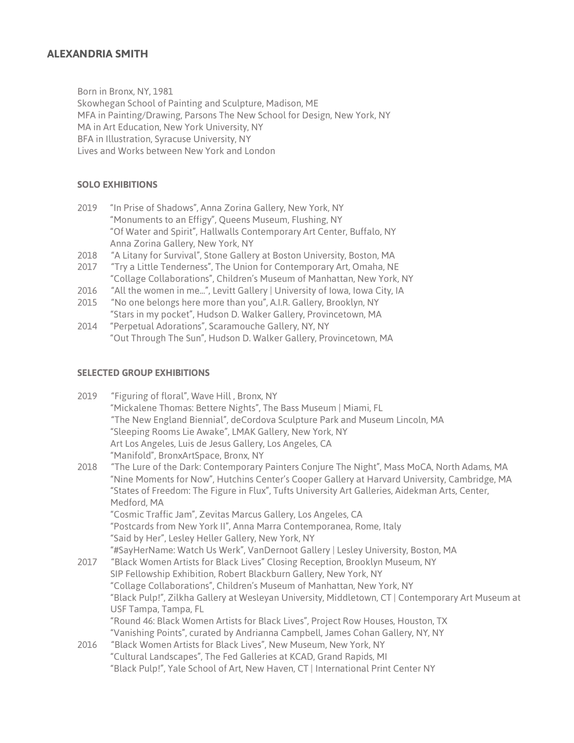## **ALEXANDRIA SMITH**

Born in Bronx, NY, 1981

Skowhegan School of Painting and Sculpture, Madison, ME MFA in Painting/Drawing, Parsons The New School for Design, New York, NY MA in Art Education, New York University, NY BFA in Illustration, Syracuse University, NY Lives and Works between New York and London

### **SOLO EXHIBITIONS**

- 2019 "In Prise of Shadows", Anna Zorina Gallery, New York, NY "Monuments to an Effigy", Queens Museum, Flushing, NY "Of Water and Spirit", Hallwalls Contemporary Art Center, Buffalo, NY Anna Zorina Gallery, New York, NY
- 2018 "A Litany for Survival", Stone Gallery at Boston University, Boston, MA
- 2017 "Try a Little Tenderness", The Union for Contemporary Art, Omaha, NE "Collage Collaborations", Children's Museum of Manhattan, New York, NY
- 2016 "All the women in me...", Levitt Gallery | University of Iowa, Iowa City, IA
- 2015 "No one belongs here more than you", A.I.R. Gallery, Brooklyn, NY
- "Stars in my pocket", Hudson D. Walker Gallery, Provincetown, MA
- 2014 "Perpetual Adorations", Scaramouche Gallery, NY, NY "Out Through The Sun", Hudson D. Walker Gallery, Provincetown, MA

#### **SELECTED GROUP EXHIBITIONS**

| 2019 | "Figuring of floral", Wave Hill, Bronx, NY                                                                                                                                                   |
|------|----------------------------------------------------------------------------------------------------------------------------------------------------------------------------------------------|
|      | "Mickalene Thomas: Bettere Nights", The Bass Museum   Miami, FL                                                                                                                              |
|      | "The New England Biennial", deCordova Sculpture Park and Museum Lincoln, MA                                                                                                                  |
|      | "Sleeping Rooms Lie Awake", LMAK Gallery, New York, NY                                                                                                                                       |
|      | Art Los Angeles, Luis de Jesus Gallery, Los Angeles, CA                                                                                                                                      |
|      | "Manifold", BronxArtSpace, Bronx, NY                                                                                                                                                         |
| 2018 | "The Lure of the Dark: Contemporary Painters Conjure The Night", Mass MoCA, North Adams, MA<br>"Nine Moments for Now", Hutchins Center's Cooper Gallery at Harvard University, Cambridge, MA |
|      | "States of Freedom: The Figure in Flux", Tufts University Art Galleries, Aidekman Arts, Center,                                                                                              |
|      | Medford, MA                                                                                                                                                                                  |
|      | "Cosmic Traffic Jam", Zevitas Marcus Gallery, Los Angeles, CA                                                                                                                                |
|      | "Postcards from New York II", Anna Marra Contemporanea, Rome, Italy                                                                                                                          |
|      | "Said by Her", Lesley Heller Gallery, New York, NY                                                                                                                                           |
|      | "#SayHerName: Watch Us Werk", VanDernoot Gallery   Lesley University, Boston, MA                                                                                                             |
| 2017 | "Black Women Artists for Black Lives" Closing Reception, Brooklyn Museum, NY                                                                                                                 |
|      | SIP Fellowship Exhibition, Robert Blackburn Gallery, New York, NY                                                                                                                            |
|      | "Collage Collaborations", Children's Museum of Manhattan, New York, NY                                                                                                                       |
|      | "Black Pulp!", Zilkha Gallery at Wesleyan University, Middletown, CT   Contemporary Art Museum at                                                                                            |
|      | USF Tampa, Tampa, FL                                                                                                                                                                         |
|      | "Round 46: Black Women Artists for Black Lives", Project Row Houses, Houston, TX                                                                                                             |
|      | "Vanishing Points", curated by Andrianna Campbell, James Cohan Gallery, NY, NY                                                                                                               |
| 2016 | "Black Women Artists for Black Lives", New Museum, New York, NY                                                                                                                              |
|      | "Cultural Landscapes", The Fed Galleries at KCAD, Grand Rapids, MI                                                                                                                           |
|      |                                                                                                                                                                                              |

Black Pulp!", Yale School of Art, New Haven, CT | International Print Center NY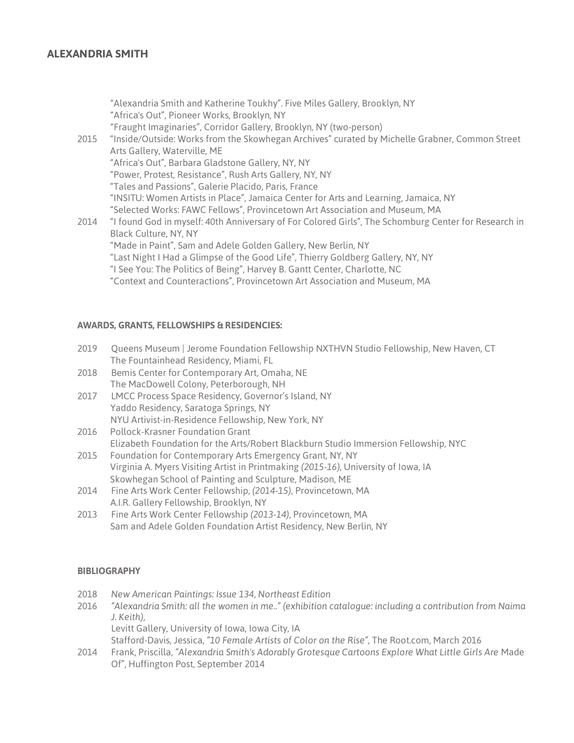# **ALEXANDRIA SMITH**

"Alexandria Smith and Katherine Toukhy". Five Miles Gallery, Brooklyn, NY "Africa's Out", Pioneer Works, Brooklyn, NY "Fraught Imaginaries", Corridor Gallery, Brooklyn, NY (two-person) 2015 "Inside/Outside: Works from the Skowhegan Archives" curated by Michelle Grabner, Common Street Arts Gallery, Waterville, ME "Africa's Out", Barbara Gladstone Gallery, NY, NY "Power, Protest, Resistance", Rush Arts Gallery, NY, NY "Tales and Passions", Galerie Placido, Paris, France "INSITU: Women Artists in Place", Jamaica Center for Arts and Learning, Jamaica, NY "Selected Works: FAWC Fellows", Provincetown Art Association and Museum, MA 2014 "I found God in myself: 40th Anniversary of For Colored Girls", The Schomburg Center for Research in Black Culture, NY, NY "Made in Paint", Sam and Adele Golden Gallery, New Berlin, NY "Last Night I Had a Glimpse of the Good Life", Thierry Goldberg Gallery, NY, NY "I See You: The Politics of Being", Harvey B. Gantt Center, Charlotte, NC "Context and Counteractions", Provincetown Art Association and Museum, MA

### **AWARDS, GRANTS, FELLOWSHIPS & RESIDENCIES:**

- 2019 Queens Museum | Jerome Foundation Fellowship NXTHVN Studio Fellowship, New Haven, CT The Fountainhead Residency, Miami, FL
- 2018 Bemis Center for Contemporary Art, Omaha, NE The MacDowell Colony, Peterborough, NH
- 2017 LMCC Process Space Residency, Governor's Island, NY Yaddo Residency, Saratoga Springs, NY NYU Artivist-in-Residence Fellowship, New York, NY
- 2016 Pollock-Krasner Foundation Grant Elizabeth Foundation for the Arts/Robert Blackburn Studio Immersion Fellowship, NYC
- 2015 Foundation for Contemporary Arts Emergency Grant, NY, NY Virginia A. Myers Visiting Artist in Printmaking *(2015-16),* University of Iowa, IA Skowhegan School of Painting and Sculpture, Madison, ME
- 2014 Fine Arts Work Center Fellowship, *(2014-15),* Provincetown, MA A.I.R. Gallery Fellowship, Brooklyn, NY
- 2013 Fine Arts Work Center Fellowship *(2013-14),* Provincetown, MA Sam and Adele Golden Foundation Artist Residency, New Berlin, NY

#### **BIBLIOGRAPHY**

- 2018 *New American Paintings: Issue 134, Northeast Edition*
- 2016 *"Alexandria Smith: all the women in me.." (exhibition catalogue: including a contribution from Naima J. Keith),*

Levitt Gallery, University of Iowa, Iowa City, IA

Stafford-Davis, Jessica, *"10 Female Artists of Color on the Rise",* The Root.com, March 2016

2014 Frank, Priscilla, *"Alexandria Smith's Adorably Grotesque Cartoons Explore What Little Girls Are* Made Of", Huffington Post, September 2014